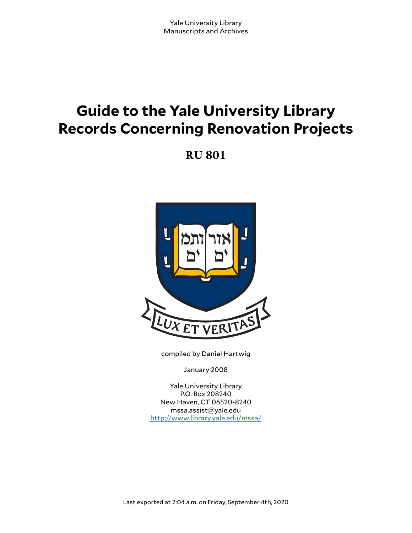# **Guide to the Yale University Library Records Concerning Renovation Projects**

**RU 801**



compiled by Daniel Hartwig

January 2008

Yale University Library P.O. Box 208240 New Haven, CT 06520-8240 mssa.assist@yale.edu <http://www.library.yale.edu/mssa/>

Last exported at 2:04 a.m. on Friday, September 4th, 2020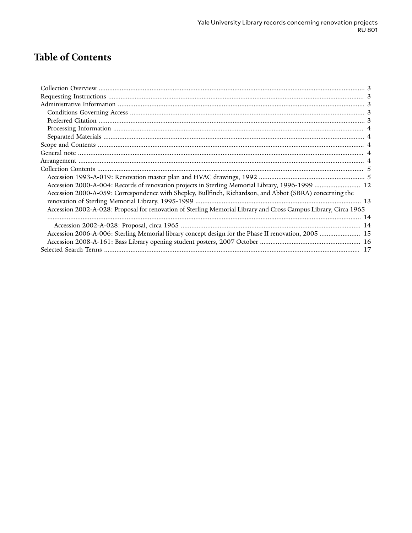# Table of Contents

| Accession 2000-A-004: Records of renovation projects in Sterling Memorial Library, 1996-1999  12                |  |
|-----------------------------------------------------------------------------------------------------------------|--|
| Accession 2000-A-059: Correspondence with Shepley, Bullfinch, Richardson, and Abbot (SBRA) concerning the       |  |
|                                                                                                                 |  |
| Accession 2002-A-028: Proposal for renovation of Sterling Memorial Library and Cross Campus Library, Circa 1965 |  |
|                                                                                                                 |  |
|                                                                                                                 |  |
| Accession 2006-A-006: Sterling Memorial library concept design for the Phase II renovation, 2005  15            |  |
|                                                                                                                 |  |
|                                                                                                                 |  |
|                                                                                                                 |  |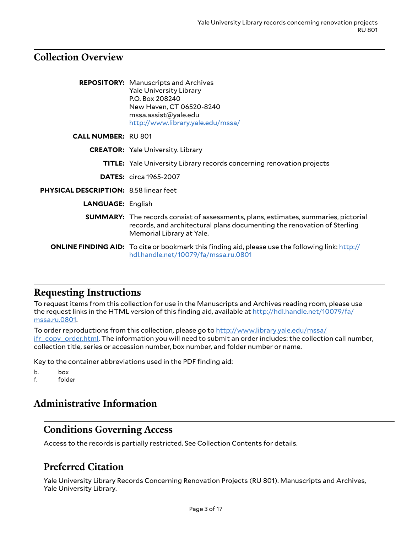# <span id="page-2-0"></span>**Collection Overview**

|                                               | <b>REPOSITORY:</b> Manuscripts and Archives<br><b>Yale University Library</b><br>P.O. Box 208240<br>New Haven, CT 06520-8240<br>msa. assist@yale.edu<br>http://www.library.yale.edu/mssa/          |
|-----------------------------------------------|----------------------------------------------------------------------------------------------------------------------------------------------------------------------------------------------------|
| <b>CALL NUMBER: RU801</b>                     |                                                                                                                                                                                                    |
|                                               | <b>CREATOR:</b> Yale University. Library                                                                                                                                                           |
|                                               | <b>TITLE:</b> Yale University Library records concerning renovation projects                                                                                                                       |
|                                               | <b>DATES:</b> circa 1965-2007                                                                                                                                                                      |
| <b>PHYSICAL DESCRIPTION: 8.58 linear feet</b> |                                                                                                                                                                                                    |
| <b>LANGUAGE: English</b>                      |                                                                                                                                                                                                    |
|                                               | <b>SUMMARY:</b> The records consist of assessments, plans, estimates, summaries, pictorial<br>records, and architectural plans documenting the renovation of Sterling<br>Memorial Library at Yale. |
|                                               | <b>ONLINE FINDING AID:</b> To cite or bookmark this finding aid, please use the following link: http://<br>hdl.handle.net/10079/fa/mssa.ru.0801                                                    |

## <span id="page-2-1"></span>**Requesting Instructions**

To request items from this collection for use in the Manuscripts and Archives reading room, please use the request links in the HTML version of this finding aid, available at [http://hdl.handle.net/10079/fa/](http://hdl.handle.net/10079/fa/mssa.ru.0801) [mssa.ru.0801](http://hdl.handle.net/10079/fa/mssa.ru.0801).

To order reproductions from this collection, please go to [http://www.library.yale.edu/mssa/](http://www.library.yale.edu/mssa/ifr_copy_order.html) [ifr\\_copy\\_order.html.](http://www.library.yale.edu/mssa/ifr_copy_order.html) The information you will need to submit an order includes: the collection call number, collection title, series or accession number, box number, and folder number or name.

Key to the container abbreviations used in the PDF finding aid:

b. box f. folder

# <span id="page-2-2"></span>**Administrative Information**

## <span id="page-2-3"></span>**Conditions Governing Access**

Access to the records is partially restricted. See Collection Contents for details.

# <span id="page-2-4"></span>**Preferred Citation**

Yale University Library Records Concerning Renovation Projects (RU 801). Manuscripts and Archives, Yale University Library.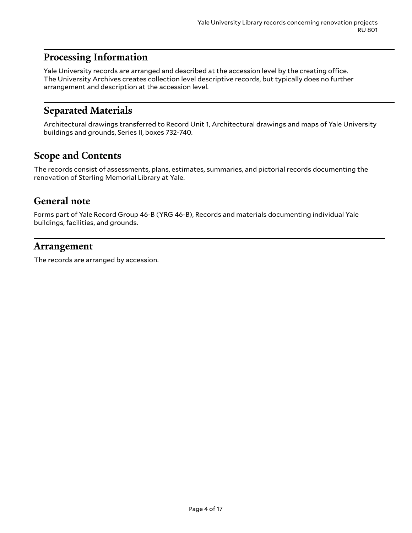# <span id="page-3-0"></span>**Processing Information**

Yale University records are arranged and described at the accession level by the creating office. The University Archives creates collection level descriptive records, but typically does no further arrangement and description at the accession level.

# <span id="page-3-1"></span>**Separated Materials**

Architectural drawings transferred to Record Unit 1, Architectural drawings and maps of Yale University buildings and grounds, Series II, boxes 732-740.

# <span id="page-3-2"></span>**Scope and Contents**

The records consist of assessments, plans, estimates, summaries, and pictorial records documenting the renovation of Sterling Memorial Library at Yale.

### <span id="page-3-3"></span>**General note**

Forms part of Yale Record Group 46-B (YRG 46-B), Records and materials documenting individual Yale buildings, facilities, and grounds.

### <span id="page-3-4"></span>**Arrangement**

The records are arranged by accession.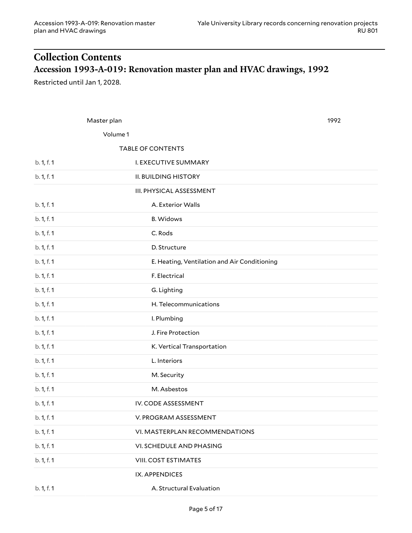# <span id="page-4-1"></span><span id="page-4-0"></span>**Collection Contents Accession 1993-A-019: Renovation master plan and HVAC drawings, 1992**

Restricted until Jan 1, 2028.

|            | Master plan                                  | 1992 |
|------------|----------------------------------------------|------|
|            | Volume 1                                     |      |
|            | <b>TABLE OF CONTENTS</b>                     |      |
| b. 1, f. 1 | I. EXECUTIVE SUMMARY                         |      |
| b. 1, f. 1 | <b>II. BUILDING HISTORY</b>                  |      |
|            | III. PHYSICAL ASSESSMENT                     |      |
| b. 1, f. 1 | A. Exterior Walls                            |      |
| b. 1, f. 1 | <b>B.</b> Widows                             |      |
| b. 1, f. 1 | C. Rods                                      |      |
| b. 1, f. 1 | D. Structure                                 |      |
| b. 1, f. 1 | E. Heating, Ventilation and Air Conditioning |      |
| b. 1, f. 1 | F. Electrical                                |      |
| b. 1, f. 1 | G. Lighting                                  |      |
| b. 1, f. 1 | H. Telecommunications                        |      |
| b. 1, f. 1 | I. Plumbing                                  |      |
| b. 1, f. 1 | J. Fire Protection                           |      |
| b. 1, f. 1 | K. Vertical Transportation                   |      |
| b. 1, f. 1 | L. Interiors                                 |      |
| b. 1, f. 1 | M. Security                                  |      |
| b. 1, f. 1 | M. Asbestos                                  |      |
| b. 1, f. 1 | IV. CODE ASSESSMENT                          |      |
| b. 1, f. 1 | V. PROGRAM ASSESSMENT                        |      |
| b. 1, f. 1 | VI. MASTERPLAN RECOMMENDATIONS               |      |
| b. 1, f. 1 | VI. SCHEDULE AND PHASING                     |      |
| b. 1, f. 1 | VIII. COST ESTIMATES                         |      |
|            | IX. APPENDICES                               |      |
| b. 1, f. 1 | A. Structural Evaluation                     |      |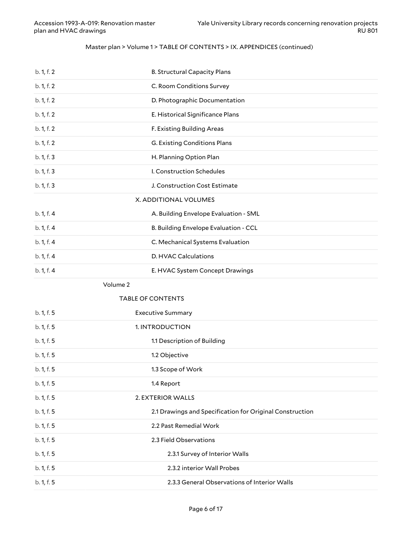#### Master plan > Volume 1 > TABLE OF CONTENTS > IX. APPENDICES (continued)

| b. 1, f. 2 | <b>B. Structural Capacity Plans</b>                      |
|------------|----------------------------------------------------------|
| b. 1, f. 2 | C. Room Conditions Survey                                |
| b. 1, f. 2 | D. Photographic Documentation                            |
| b. 1, f. 2 | E. Historical Significance Plans                         |
| b. 1, f. 2 | F. Existing Building Areas                               |
| b. 1, f. 2 | G. Existing Conditions Plans                             |
| b. 1, f. 3 | H. Planning Option Plan                                  |
| b. 1, f. 3 | I. Construction Schedules                                |
| b. 1, f. 3 | J. Construction Cost Estimate                            |
|            | X. ADDITIONAL VOLUMES                                    |
| b. 1, f. 4 | A. Building Envelope Evaluation - SML                    |
| b. 1, f. 4 | B. Building Envelope Evaluation - CCL                    |
| b. 1, f. 4 | C. Mechanical Systems Evaluation                         |
| b. 1, f. 4 | D. HVAC Calculations                                     |
| b. 1, f. 4 | E. HVAC System Concept Drawings                          |
|            |                                                          |
|            | Volume 2                                                 |
|            | <b>TABLE OF CONTENTS</b>                                 |
| b. 1, f. 5 | <b>Executive Summary</b>                                 |
| b. 1, f. 5 | 1. INTRODUCTION                                          |
| b. 1, f. 5 | 1.1 Description of Building                              |
| b. 1, f. 5 | 1.2 Objective                                            |
| b. 1, f. 5 | 1.3 Scope of Work                                        |
| b. 1, f. 5 | 1.4 Report                                               |
| b. 1, f. 5 | 2. EXTERIOR WALLS                                        |
| b. 1, f. 5 | 2.1 Drawings and Specification for Original Construction |
| b. 1, f. 5 | 2.2 Past Remedial Work                                   |
| b. 1, f. 5 | 2.3 Field Observations                                   |
| b. 1, f. 5 | 2.3.1 Survey of Interior Walls                           |
| b. 1, f. 5 | 2.3.2 interior Wall Probes                               |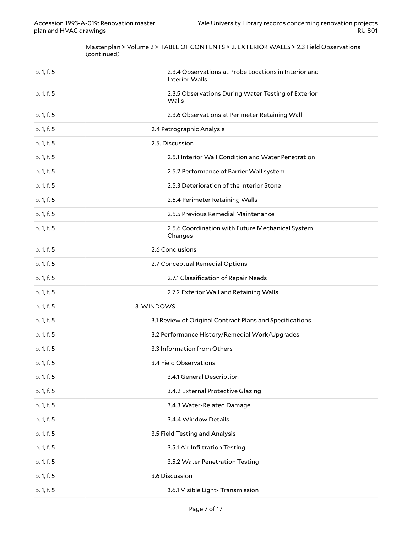Master plan > Volume 2 > TABLE OF CONTENTS > 2. EXTERIOR WALLS > 2.3 Field Observations (continued)

| b. 1, f. 5 | 2.3.4 Observations at Probe Locations in Interior and<br><b>Interior Walls</b> |
|------------|--------------------------------------------------------------------------------|
| b. 1, f. 5 | 2.3.5 Observations During Water Testing of Exterior<br>Walls                   |
| b. 1, f. 5 | 2.3.6 Observations at Perimeter Retaining Wall                                 |
| b. 1, f. 5 | 2.4 Petrographic Analysis                                                      |
| b. 1, f. 5 | 2.5. Discussion                                                                |
| b. 1, f. 5 | 2.5.1 Interior Wall Condition and Water Penetration                            |
| b. 1, f. 5 | 2.5.2 Performance of Barrier Wall system                                       |
| b. 1, f. 5 | 2.5.3 Deterioration of the Interior Stone                                      |
| b. 1, f. 5 | 2.5.4 Perimeter Retaining Walls                                                |
| b. 1, f. 5 | 2.5.5 Previous Remedial Maintenance                                            |
| b. 1, f. 5 | 2.5.6 Coordination with Future Mechanical System<br>Changes                    |
| b. 1, f. 5 | 2.6 Conclusions                                                                |
| b. 1, f. 5 | 2.7 Conceptual Remedial Options                                                |
| b. 1, f. 5 | 2.7.1 Classification of Repair Needs                                           |
| b. 1, f. 5 | 2.7.2 Exterior Wall and Retaining Walls                                        |
| b. 1, f. 5 | 3. WINDOWS                                                                     |
| b. 1, f. 5 | 3.1 Review of Original Contract Plans and Specifications                       |
| b. 1, f. 5 | 3.2 Performance History/Remedial Work/Upgrades                                 |
| b. 1, f. 5 | 3.3 Information from Others                                                    |
| b. 1, f. 5 | 3.4 Field Observations                                                         |
| b. 1, f. 5 | 3.4.1 General Description                                                      |
| b. 1, f. 5 | 3.4.2 External Protective Glazing                                              |
| b. 1, f. 5 | 3.4.3 Water-Related Damage                                                     |
| b. 1, f. 5 | 3.4.4 Window Details                                                           |
| b. 1, f. 5 | 3.5 Field Testing and Analysis                                                 |
| b. 1, f. 5 | 3.5.1 Air Infiltration Testing                                                 |
| b. 1, f. 5 | 3.5.2 Water Penetration Testing                                                |
| b. 1, f. 5 | 3.6 Discussion                                                                 |
| b. 1, f. 5 | 3.6.1 Visible Light- Transmission                                              |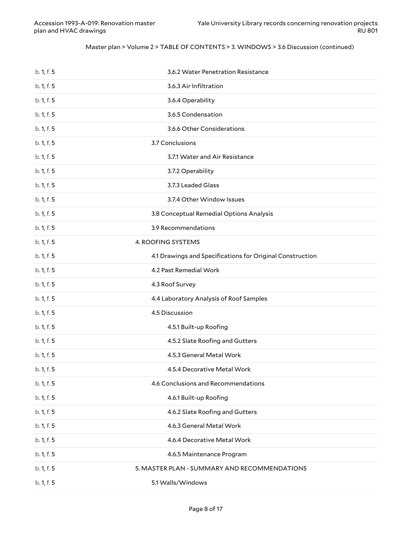#### Master plan > Volume 2 > TABLE OF CONTENTS > 3. WINDOWS > 3.6 Discussion (continued)

| b. 1, f. 5 | 3.6.2 Water Penetration Resistance                        |
|------------|-----------------------------------------------------------|
| b. 1, f. 5 | 3.6.3 Air Infiltration                                    |
| b. 1, f. 5 | 3.6.4 Operability                                         |
| b. 1, f. 5 | 3.6.5 Condensation                                        |
| b. 1, f. 5 | 3.6.6 Other Considerations                                |
| b. 1, f. 5 | 3.7 Conclusions                                           |
| b. 1, f. 5 | 3.7.1 Water and Air Resistance                            |
| b. 1, f. 5 | 3.7.2 Operability                                         |
| b. 1, f. 5 | 3.7.3 Leaded Glass                                        |
| b. 1, f. 5 | 3.7.4 Other Window Issues                                 |
| b. 1, f. 5 | 3.8 Conceptual Remedial Options Analysis                  |
| b. 1, f. 5 | 3.9 Recommendations                                       |
| b. 1, f. 5 | 4. ROOFING SYSTEMS                                        |
| b. 1, f. 5 | 4.1 Drawings and Specifications for Original Construction |
| b. 1, f. 5 | 4.2 Past Remedial Work                                    |
| b. 1, f. 5 | 4.3 Roof Survey                                           |
| b. 1, f. 5 | 4.4 Laboratory Analysis of Roof Samples                   |
| b. 1, f. 5 | 4.5 Discussion                                            |
| b. 1, f. 5 | 4.5.1 Built-up Roofing                                    |
| b. 1, f. 5 | 4.5.2 Slate Roofing and Gutters                           |
| b. 1, f. 5 | 4.5.3 General Metal Work                                  |
| b. 1, f. 5 | 4.5.4 Decorative Metal Work                               |
| b. 1, f. 5 | 4.6 Conclusions and Recommendations                       |
| b. 1, f. 5 | 4.6.1 Built-up Roofing                                    |
| b. 1, f. 5 | 4.6.2 Slate Roofing and Gutters                           |
| b. 1, f. 5 | 4.6.3 General Metal Work                                  |
| b. 1, f. 5 | 4.6.4 Decorative Metal Work                               |
| b. 1, f. 5 | 4.6.5 Maintenance Program                                 |
| b. 1, f. 5 | 5. MASTER PLAN - SUMMARY AND RECOMMENDATIONS              |
|            |                                                           |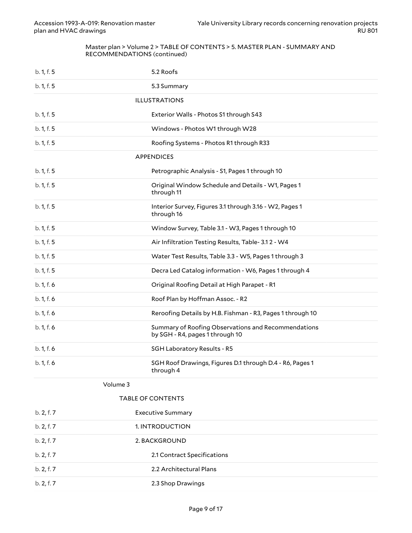#### Master plan > Volume 2 > TABLE OF CONTENTS > 5. MASTER PLAN - SUMMARY AND RECOMMENDATIONS (continued)

| b. 1, f. 5 | 5.2 Roofs                                                                              |
|------------|----------------------------------------------------------------------------------------|
| b. 1, f. 5 | 5.3 Summary                                                                            |
|            | <b>ILLUSTRATIONS</b>                                                                   |
| b. 1, f. 5 | Exterior Walls - Photos S1 through S43                                                 |
| b. 1, f. 5 | Windows - Photos W1 through W28                                                        |
| b. 1, f. 5 | Roofing Systems - Photos R1 through R33                                                |
|            | <b>APPENDICES</b>                                                                      |
| b. 1, f. 5 | Petrographic Analysis - S1, Pages 1 through 10                                         |
| b. 1, f. 5 | Original Window Schedule and Details - W1, Pages 1<br>through 11                       |
| b. 1, f. 5 | Interior Survey, Figures 3.1 through 3.16 - W2, Pages 1<br>through 16                  |
| b. 1, f. 5 | Window Survey, Table 3.1 - W3, Pages 1 through 10                                      |
| b. 1, f. 5 | Air Infiltration Testing Results, Table-3.12 - W4                                      |
| b. 1, f. 5 | Water Test Results, Table 3.3 - W5, Pages 1 through 3                                  |
| b. 1, f. 5 | Decra Led Catalog information - W6, Pages 1 through 4                                  |
| b. 1, f. 6 | Original Roofing Detail at High Parapet - R1                                           |
| b. 1, f. 6 | Roof Plan by Hoffman Assoc. - R2                                                       |
| b. 1, f. 6 | Reroofing Details by H.B. Fishman - R3, Pages 1 through 10                             |
| b. 1, f. 6 | Summary of Roofing Observations and Recommendations<br>by SGH - R4, pages 1 through 10 |
| b. 1, f. 6 | SGH Laboratory Results - R5                                                            |
| b. 1, f. 6 | SGH Roof Drawings, Figures D.1 through D.4 - R6, Pages 1<br>through 4                  |
| Volume 3   |                                                                                        |
|            | <b>TABLE OF CONTENTS</b>                                                               |
| b. 2, f. 7 | <b>Executive Summary</b>                                                               |
| b. 2, f. 7 | 1. INTRODUCTION                                                                        |
| b. 2, f. 7 | 2. BACKGROUND                                                                          |
| b. 2, f. 7 | 2.1 Contract Specifications                                                            |

b. 2, f. 7 2.2 Architectural Plans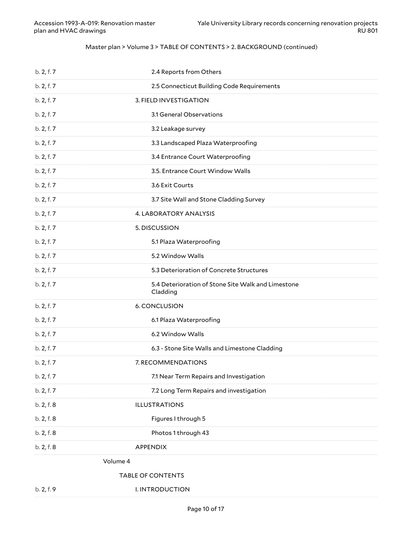#### Master plan > Volume 3 > TABLE OF CONTENTS > 2. BACKGROUND (continued)

|            | <b>TABLE OF CONTENTS</b>                                       |
|------------|----------------------------------------------------------------|
| Volume 4   |                                                                |
| b. 2, f. 8 | <b>APPENDIX</b>                                                |
| b. 2, f. 8 | Photos 1 through 43                                            |
| b. 2, f. 8 | Figures I through 5                                            |
| b. 2, f. 8 | <b>ILLUSTRATIONS</b>                                           |
| b. 2, f. 7 | 7.2 Long Term Repairs and investigation                        |
| b. 2, f. 7 | 7.1 Near Term Repairs and Investigation                        |
| b. 2, f. 7 | 7. RECOMMENDATIONS                                             |
| b. 2, f. 7 | 6.3 - Stone Site Walls and Limestone Cladding                  |
| b. 2, f. 7 | 6.2 Window Walls                                               |
| b. 2, f. 7 | 6.1 Plaza Waterproofing                                        |
| b. 2, f. 7 | 6. CONCLUSION                                                  |
| b. 2, f. 7 | 5.4 Deterioration of Stone Site Walk and Limestone<br>Cladding |
| b. 2, f. 7 | 5.3 Deterioration of Concrete Structures                       |
| b. 2, f. 7 | 5.2 Window Walls                                               |
| b. 2, f. 7 | 5.1 Plaza Waterproofing                                        |
| b. 2, f. 7 | 5. DISCUSSION                                                  |
| b. 2, f. 7 | 4. LABORATORY ANALYSIS                                         |
| b. 2, f. 7 | 3.7 Site Wall and Stone Cladding Survey                        |
| b. 2, f. 7 | 3.6 Exit Courts                                                |
| b. 2, f. 7 | 3.5. Entrance Court Window Walls                               |
| b. 2, f. 7 | 3.4 Entrance Court Waterproofing                               |
| b. 2, f. 7 | 3.3 Landscaped Plaza Waterproofing                             |
| b. 2, f. 7 | 3.2 Leakage survey                                             |
| b. 2, f. 7 | 3.1 General Observations                                       |
| b. 2, f. 7 | 3. FIELD INVESTIGATION                                         |
| b. 2, f. 7 | 2.5 Connecticut Building Code Requirements                     |
| b. 2, f. 7 | 2.4 Reports from Others                                        |

b. 2, f. 9 I. INTRODUCTION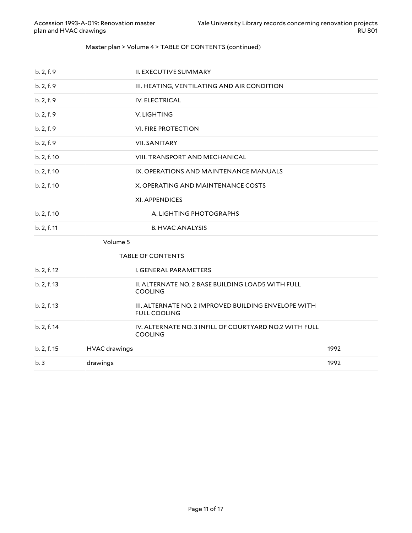#### Master plan > Volume 4 > TABLE OF CONTENTS (continued)

| b.3         | drawings             |                                                                             | 1992 |
|-------------|----------------------|-----------------------------------------------------------------------------|------|
| b. 2, f. 15 | <b>HVAC</b> drawings |                                                                             | 1992 |
| b. 2, f. 14 |                      | IV. ALTERNATE NO. 3 INFILL OF COURTYARD NO.2 WITH FULL<br><b>COOLING</b>    |      |
| b. 2, f. 13 |                      | III. ALTERNATE NO. 2 IMPROVED BUILDING ENVELOPE WITH<br><b>FULL COOLING</b> |      |
| b. 2, f. 13 |                      | II. ALTERNATE NO. 2 BASE BUILDING LOAD5 WITH FULL<br><b>COOLING</b>         |      |
| b. 2, f. 12 |                      | <b>I. GENERAL PARAMETERS</b>                                                |      |
|             |                      | <b>TABLE OF CONTENTS</b>                                                    |      |
|             | Volume 5             |                                                                             |      |
| b. 2, f. 11 |                      | <b>B. HVAC ANALYSIS</b>                                                     |      |
| b. 2, f. 10 |                      | A. LIGHTING PHOTOGRAPHS                                                     |      |
|             |                      | XI. APPENDICES                                                              |      |
| b. 2, f. 10 |                      | X. OPERATING AND MAINTENANCE COSTS                                          |      |
| b. 2, f. 10 |                      | IX. OPERATIONS AND MAINTENANCE MANUALS                                      |      |
| b. 2, f. 10 |                      | <b>VIII. TRANSPORT AND MECHANICAL</b>                                       |      |
| b. 2, f. 9  |                      | <b>VII. SANITARY</b>                                                        |      |
| b. 2, f. 9  |                      | <b>VI. FIRE PROTECTION</b>                                                  |      |
| b. 2, f. 9  |                      | V. LIGHTING                                                                 |      |
| b. 2, f. 9  |                      | <b>IV. ELECTRICAL</b>                                                       |      |
| b. 2, f. 9  |                      | III. HEATING, VENTILATING AND AIR CONDITION                                 |      |
| b. 2, f. 9  |                      | <b>II. EXECUTIVE SUMMARY</b>                                                |      |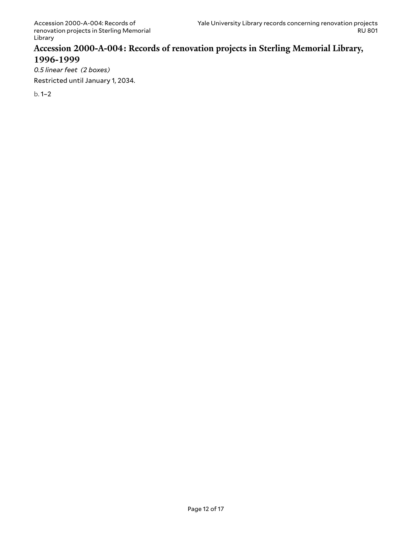### <span id="page-11-0"></span>**Accession 2000-A-004: Records of renovation projects in Sterling Memorial Library, 1996-1999**

*0.5 linear feet (2 boxes)*

Restricted until January 1, 2034.

b. 1–2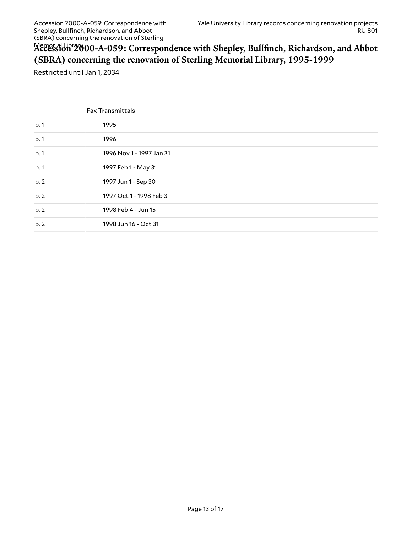# <span id="page-12-0"></span>Memorial Library **Accession 2000-A-059: Correspondence with Shepley, Bullfinch, Richardson, and Abbot (SBRA) concerning the renovation of Sterling Memorial Library, 1995-1999**

Restricted until Jan 1, 2034

|     | <b>Fax Transmittals</b>  |
|-----|--------------------------|
| b.1 | 1995                     |
| b.1 | 1996                     |
| b.1 | 1996 Nov 1 - 1997 Jan 31 |
| b.1 | 1997 Feb 1 - May 31      |
| b.2 | 1997 Jun 1 - Sep 30      |
| b.2 | 1997 Oct 1 - 1998 Feb 3  |
| b.2 | 1998 Feb 4 - Jun 15      |
| b.2 | 1998 Jun 16 - Oct 31     |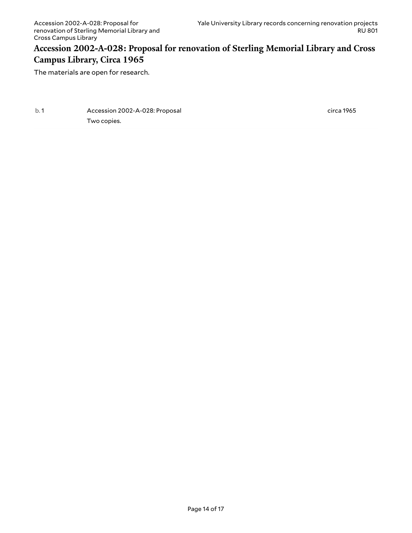### <span id="page-13-0"></span>**Accession 2002-A-028: Proposal for renovation of Sterling Memorial Library and Cross Campus Library, Circa 1965**

The materials are open for research.

<span id="page-13-1"></span>

| b.1 | Accession 2002-A-028: Proposal |
|-----|--------------------------------|
|     | Two copies.                    |

circa 1965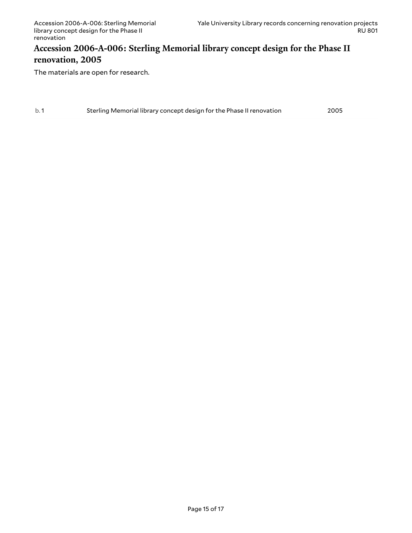### <span id="page-14-0"></span>**Accession 2006-A-006: Sterling Memorial library concept design for the Phase II renovation, 2005**

The materials are open for research.

| b.1 |                                                                      | 2005 |
|-----|----------------------------------------------------------------------|------|
|     | Sterling Memorial library concept design for the Phase II renovation |      |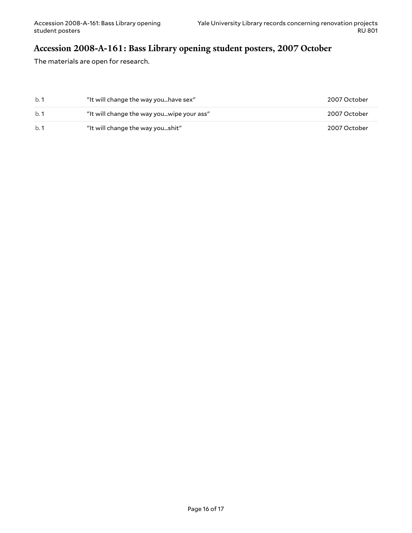# <span id="page-15-0"></span>**Accession 2008-A-161: Bass Library opening student posters, 2007 October**

The materials are open for research.

| b.1 | "It will change the way youhave sex"      | 2007 October |
|-----|-------------------------------------------|--------------|
| h.1 | "It will change the way youwipe your ass" | 2007 October |
| h.1 | "It will change the way youshit"          | 2007 October |